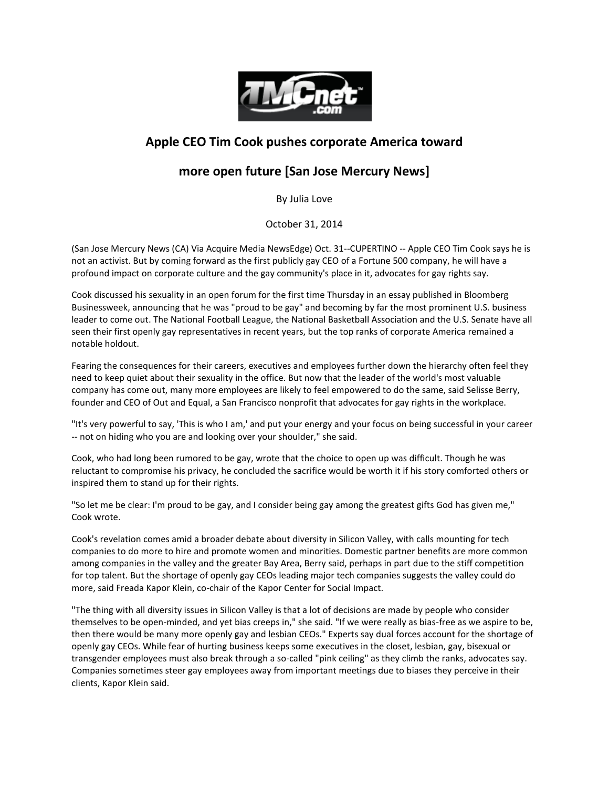

## **Apple CEO Tim Cook pushes corporate America toward**

## **more open future [San Jose Mercury News]**

By Julia Love

October 31, 2014

(San Jose Mercury News (CA) Via Acquire Media NewsEdge) Oct. 31--CUPERTINO -- Apple CEO Tim Cook says he is not an activist. But by coming forward as the first publicly gay CEO of a Fortune 500 company, he will have a profound impact on corporate culture and the gay community's place in it, advocates for gay rights say.

Cook discussed his sexuality in an open forum for the first time Thursday in an essay published in Bloomberg Businessweek, announcing that he was "proud to be gay" and becoming by far the most prominent U.S. business leader to come out. The National Football League, the National Basketball Association and the U.S. Senate have all seen their first openly gay representatives in recent years, but the top ranks of corporate America remained a notable holdout.

Fearing the consequences for their careers, executives and employees further down the hierarchy often feel they need to keep quiet about their sexuality in the office. But now that the leader of the world's most valuable company has come out, many more employees are likely to feel empowered to do the same, said Selisse Berry, founder and CEO of Out and Equal, a San Francisco nonprofit that advocates for gay rights in the workplace.

"It's very powerful to say, 'This is who I am,' and put your energy and your focus on being successful in your career -- not on hiding who you are and looking over your shoulder," she said.

Cook, who had long been rumored to be gay, wrote that the choice to open up was difficult. Though he was reluctant to compromise his privacy, he concluded the sacrifice would be worth it if his story comforted others or inspired them to stand up for their rights.

"So let me be clear: I'm proud to be gay, and I consider being gay among the greatest gifts God has given me," Cook wrote.

Cook's revelation comes amid a broader debate about diversity in Silicon Valley, with calls mounting for tech companies to do more to hire and promote women and minorities. Domestic partner benefits are more common among companies in the valley and the greater Bay Area, Berry said, perhaps in part due to the stiff competition for top talent. But the shortage of openly gay CEOs leading major tech companies suggests the valley could do more, said Freada Kapor Klein, co-chair of the Kapor Center for Social Impact.

"The thing with all diversity issues in Silicon Valley is that a lot of decisions are made by people who consider themselves to be open-minded, and yet bias creeps in," she said. "If we were really as bias-free as we aspire to be, then there would be many more openly gay and lesbian CEOs." Experts say dual forces account for the shortage of openly gay CEOs. While fear of hurting business keeps some executives in the closet, lesbian, gay, bisexual or transgender employees must also break through a so-called "pink ceiling" as they climb the ranks, advocates say. Companies sometimes steer gay employees away from important meetings due to biases they perceive in their clients, Kapor Klein said.